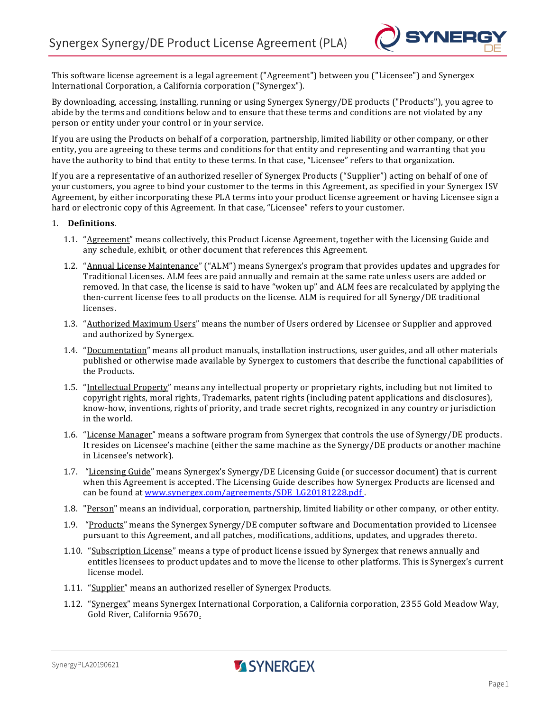

This software license agreement is a legal agreement ("Agreement") between you ("Licensee") and Synergex International Corporation, a California corporation ("Synergex").

By downloading, accessing, installing, running or using Synergex Synergy/DE products ("Products"), you agree to abide by the terms and conditions below and to ensure that these terms and conditions are not violated by any person or entity under your control or in your service.

If you are using the Products on behalf of a corporation, partnership, limited liability or other company, or other entity, you are agreeing to these terms and conditions for that entity and representing and warranting that you have the authority to bind that entity to these terms. In that case, "Licensee" refers to that organization.

If you are a representative of an authorized reseller of Synergex Products ("Supplier") acting on behalf of one of your customers, you agree to bind your customer to the terms in this Agreement, as specified in your Synergex ISV Agreement, by either incorporating these PLA terms into your product license agreement or having Licensee sign a hard or electronic copy of this Agreement. In that case, "Licensee" refers to your customer.

#### 1. **Definitions**.

- 1.1. "Agreement" means collectively, this Product License Agreement, together with the Licensing Guide and any schedule, exhibit, or other document that references this Agreement.
- 1.2. "Annual License Maintenance" ("ALM") means Synergex's program that provides updates and upgrades for Traditional Licenses. ALM fees are paid annually and remain at the same rate unless users are added or removed. In that case, the license is said to have "woken up" and ALM fees are recalculated by applying the then-current license fees to all products on the license. ALM is required for all Synergy/DE traditional licenses.
- 1.3. "Authorized Maximum Users" means the number of Users ordered by Licensee or Supplier and approved and authorized by Synergex.
- 1.4. "Documentation" means all product manuals, installation instructions, user guides, and all other materials published or otherwise made available by Synergex to customers that describe the functional capabilities of the Products.
- 1.5. "Intellectual Property" means any intellectual property or proprietary rights, including but not limited to copyright rights, moral rights, Trademarks, patent rights (including patent applications and disclosures), know-how, inventions, rights of priority, and trade secret rights, recognized in any country or jurisdiction in the world.
- 1.6. "License Manager" means a software program from Synergex that controls the use of Synergy/DE products. It resides on Licensee's machine (either the same machine as the Synergy/DE products or another machine in Licensee's network).
- 1.7. "Licensing Guide" means Synergex's Synergy/DE Licensing Guide (or successor document) that is current when this Agreement is accepted. The Licensing Guide describes how Synergex Products are licensed and can be found at [www.synergex.com/agreements/SDE\\_LG20181228.pdf](http://www.synergex.com/agreements/SDE_LG20181228.pdf) .
- 1.8. "Person" means an individual, corporation, partnership, limited liability or other company, or other entity.
- 1.9. "Products" means the Synergex Synergy/DE computer software and Documentation provided to Licensee pursuant to this Agreement, and all patches, modifications, additions, updates, and upgrades thereto.
- 1.10. "Subscription License" means a type of product license issued by Synergex that renews annually and entitles licensees to product updates and to move the license to other platforms. This is Synergex's current license model.
- 1.11. "Supplier" means an authorized reseller of Synergex Products.
- 1.12. "Synergex" means Synergex International Corporation, a California corporation, 2355 Gold Meadow Way, Gold River, California 95670.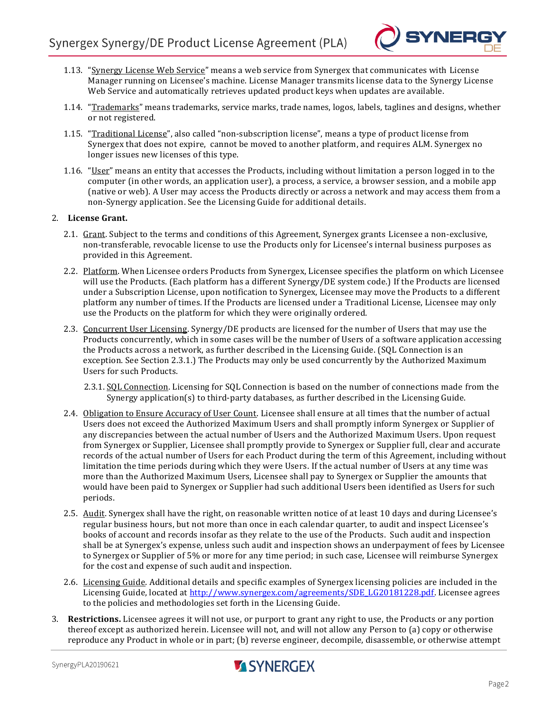

- 1.13. "Synergy License Web Service" means a web service from Synergex that communicates with License Manager running on Licensee's machine. License Manager transmits license data to the Synergy License Web Service and automatically retrieves updated product keys when updates are available.
- 1.14. "Trademarks" means trademarks, service marks, trade names, logos, labels, taglines and designs, whether or not registered.
- 1.15. "Traditional License", also called "non-subscription license", means a type of product license from Synergex that does not expire, cannot be moved to another platform, and requires ALM. Synergex no longer issues new licenses of this type.
- 1.16. "User" means an entity that accesses the Products, including without limitation a person logged in to the computer (in other words, an application user), a process, a service, a browser session, and a mobile app (native or web). A User may access the Products directly or across a network and may access them from a non-Synergy application. See the Licensing Guide for additional details.

### 2. **License Grant.**

- 2.1. Grant. Subject to the terms and conditions of this Agreement, Synergex grants Licensee a non-exclusive, non-transferable, revocable license to use the Products only for Licensee's internal business purposes as provided in this Agreement.
- 2.2. Platform. When Licensee orders Products from Synergex, Licensee specifies the platform on which Licensee will use the Products. (Each platform has a different Synergy/DE system code.) If the Products are licensed under a Subscription License, upon notification to Synergex, Licensee may move the Products to a different platform any number of times. If the Products are licensed under a Traditional License, Licensee may only use the Products on the platform for which they were originally ordered.
- 2.3. Concurrent User Licensing. Synergy/DE products are licensed for the number of Users that may use the Products concurrently, which in some cases will be the number of Users of a software application accessing the Products across a network, as further described in the Licensing Guide. (SQL Connection is an exception. See Section 2.3.1.) The Products may only be used concurrently by the Authorized Maximum Users for such Products.
	- 2.3.1. SQL Connection. Licensing for SQL Connection is based on the number of connections made from the Synergy application(s) to third-party databases, as further described in the Licensing Guide.
- 2.4. Obligation to Ensure Accuracy of User Count. Licensee shall ensure at all times that the number of actual Users does not exceed the Authorized Maximum Users and shall promptly inform Synergex or Supplier of any discrepancies between the actual number of Users and the Authorized Maximum Users. Upon request from Synergex or Supplier, Licensee shall promptly provide to Synergex or Supplier full, clear and accurate records of the actual number of Users for each Product during the term of this Agreement, including without limitation the time periods during which they were Users. If the actual number of Users at any time was more than the Authorized Maximum Users, Licensee shall pay to Synergex or Supplier the amounts that would have been paid to Synergex or Supplier had such additional Users been identified as Users for such periods.
- 2.5. Audit. Synergex shall have the right, on reasonable written notice of at least 10 days and during Licensee's regular business hours, but not more than once in each calendar quarter, to audit and inspect Licensee's books of account and records insofar as they relate to the use of the Products. Such audit and inspection shall be at Synergex's expense, unless such audit and inspection shows an underpayment of fees by Licensee to Synergex or Supplier of 5% or more for any time period; in such case, Licensee will reimburse Synergex for the cost and expense of such audit and inspection.
- 2.6. Licensing Guide. Additional details and specific examples of Synergex licensing policies are included in the Licensing Guide, located at [http://www.synergex.com/agreements/SDE\\_LG20181228.pdf.](http://www.synergex.com/agreements/SDE_LG20181228.pdf) Licensee agrees to the policies and methodologies set forth in the Licensing Guide.
- 3. **Restrictions.** Licensee agrees it will not use, or purport to grant any right to use, the Products or any portion thereof except as authorized herein. Licensee will not, and will not allow any Person to (a) copy or otherwise reproduce any Product in whole or in part; (b) reverse engineer, decompile, disassemble, or otherwise attempt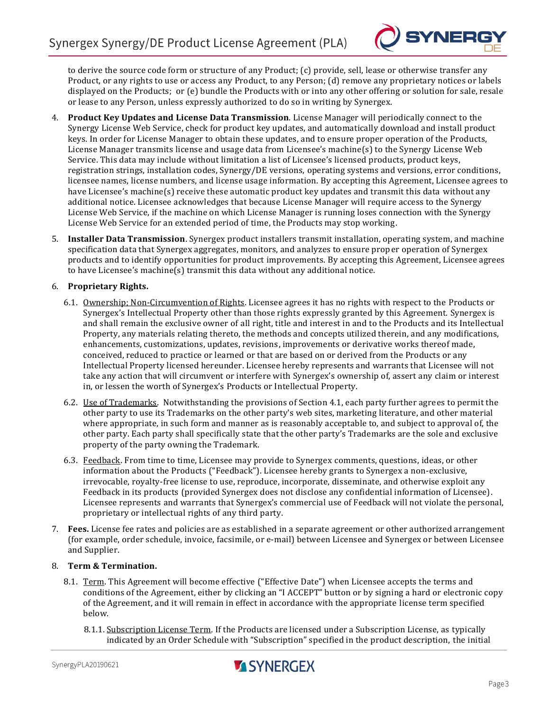

to derive the source code form or structure of any Product; (c) provide, sell, lease or otherwise transfer any Product, or any rights to use or access any Product, to any Person; (d) remove any proprietary notices or labels displayed on the Products; or (e) bundle the Products with or into any other offering or solution for sale, resale or lease to any Person, unless expressly authorized to do so in writing by Synergex.

- 4. **Product Key Updates and License Data Transmission**. License Manager will periodically connect to the Synergy License Web Service, check for product key updates, and automatically download and install product keys. In order for License Manager to obtain these updates, and to ensure proper operation of the Products, License Manager transmits license and usage data from Licensee's machine(s) to the Synergy License Web Service. This data may include without limitation a list of Licensee's licensed products, product keys, registration strings, installation codes, Synergy/DE versions, operating systems and versions, error conditions, licensee names, license numbers, and license usage information. By accepting this Agreement, Licensee agrees to have Licensee's machine(s) receive these automatic product key updates and transmit this data without any additional notice. Licensee acknowledges that because License Manager will require access to the Synergy License Web Service, if the machine on which License Manager is running loses connection with the Synergy License Web Service for an extended period of time, the Products may stop working.
- 5. **Installer Data Transmission**. Synergex product installers transmit installation, operating system, and machine specification data that Synergex aggregates, monitors, and analyzes to ensure proper operation of Synergex products and to identify opportunities for product improvements. By accepting this Agreement, Licensee agrees to have Licensee's machine(s) transmit this data without any additional notice.

# 6. **Proprietary Rights.**

- 6.1. Ownership; Non-Circumvention of Rights. Licensee agrees it has no rights with respect to the Products or Synergex's Intellectual Property other than those rights expressly granted by this Agreement. Synergex is and shall remain the exclusive owner of all right, title and interest in and to the Products and its Intellectual Property, any materials relating thereto, the methods and concepts utilized therein, and any modifications, enhancements, customizations, updates, revisions, improvements or derivative works thereof made, conceived, reduced to practice or learned or that are based on or derived from the Products or any Intellectual Property licensed hereunder. Licensee hereby represents and warrants that Licensee will not take any action that will circumvent or interfere with Synergex's ownership of, assert any claim or interest in, or lessen the worth of Synergex's Products or Intellectual Property.
- 6.2. Use of Trademarks. Notwithstanding the provisions of Section 4.1, each party further agrees to permit the other party to use its Trademarks on the other party's web sites, marketing literature, and other material where appropriate, in such form and manner as is reasonably acceptable to, and subject to approval of, the other party. Each party shall specifically state that the other party's Trademarks are the sole and exclusive property of the party owning the Trademark.
- 6.3. Feedback. From time to time, Licensee may provide to Synergex comments, questions, ideas, or other information about the Products ("Feedback"). Licensee hereby grants to Synergex a non-exclusive, irrevocable, royalty-free license to use, reproduce, incorporate, disseminate, and otherwise exploit any Feedback in its products (provided Synergex does not disclose any confidential information of Licensee). Licensee represents and warrants that Synergex's commercial use of Feedback will not violate the personal, proprietary or intellectual rights of any third party.
- 7. **Fees.** License fee rates and policies are as established in a separate agreement or other authorized arrangement (for example, order schedule, invoice, facsimile, or e-mail) between Licensee and Synergex or between Licensee and Supplier.

## 8. **Term & Termination.**

- 8.1. Term. This Agreement will become effective ("Effective Date") when Licensee accepts the terms and conditions of the Agreement, either by clicking an "I ACCEPT" button or by signing a hard or electronic copy of the Agreement, and it will remain in effect in accordance with the appropriate license term specified below.
	- 8.1.1. Subscription License Term. If the Products are licensed under a Subscription License, as typically indicated by an Order Schedule with "Subscription" specified in the product description, the initial

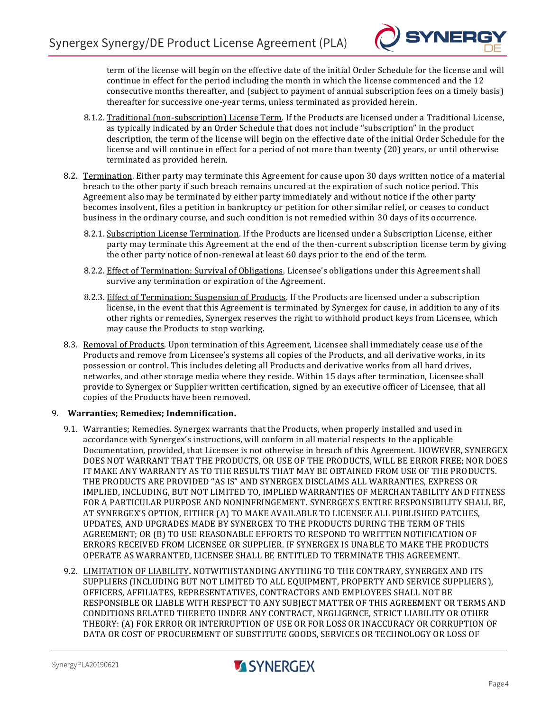

term of the license will begin on the effective date of the initial Order Schedule for the license and will continue in effect for the period including the month in which the license commenced and the 12 consecutive months thereafter, and (subject to payment of annual subscription fees on a timely basis) thereafter for successive one-year terms, unless terminated as provided herein.

- 8.1.2. Traditional (non-subscription) License Term. If the Products are licensed under a Traditional License, as typically indicated by an Order Schedule that does not include "subscription" in the product description, the term of the license will begin on the effective date of the initial Order Schedule for the license and will continue in effect for a period of not more than twenty (20) years, or until otherwise terminated as provided herein.
- 8.2. Termination. Either party may terminate this Agreement for cause upon 30 days written notice of a material breach to the other party if such breach remains uncured at the expiration of such notice period. This Agreement also may be terminated by either party immediately and without notice if the other party becomes insolvent, files a petition in bankruptcy or petition for other similar relief, or c eases to conduct business in the ordinary course, and such condition is not remedied within 30 days of its occurrence.
	- 8.2.1. Subscription License Termination. If the Products are licensed under a Subscription License, either party may terminate this Agreement at the end of the then-current subscription license term by giving the other party notice of non-renewal at least 60 days prior to the end of the term.
	- 8.2.2. Effect of Termination: Survival of Obligations. Licensee's obligations under this Agreement shall survive any termination or expiration of the Agreement.
	- 8.2.3. Effect of Termination: Suspension of Products. If the Products are licensed under a subscription license, in the event that this Agreement is terminated by Synergex for cause, in addition to any of its other rights or remedies, Synergex reserves the right to withhold product keys from Licensee, which may cause the Products to stop working.
- 8.3. Removal of Products. Upon termination of this Agreement, Licensee shall immediately cease use of the Products and remove from Licensee's systems all copies of the Products, and all derivative works, in its possession or control. This includes deleting all Products and derivative works from all hard drives, networks, and other storage media where they reside. Within 15 days after termination, Licensee shall provide to Synergex or Supplier written certification, signed by an executive officer of Licensee, that all copies of the Products have been removed.

## 9. **Warranties; Remedies; Indemnification.**

- 9.1. Warranties; Remedies. Synergex warrants that the Products, when properly installed and used in accordance with Synergex's instructions, will conform in all material respects to the applicable Documentation, provided, that Licensee is not otherwise in breach of this Agreement. HOWEVER, SYNERGEX DOES NOT WARRANT THAT THE PRODUCTS, OR USE OF THE PRODUCTS, WILL BE ERROR FREE; NOR DOES IT MAKE ANY WARRANTY AS TO THE RESULTS THAT MAY BE OBTAINED FROM USE OF THE PRODUCTS. THE PRODUCTS ARE PROVIDED "AS IS" AND SYNERGEX DISCLAIMS ALL WARRANTIES, EXPRESS OR IMPLIED, INCLUDING, BUT NOT LIMITED TO, IMPLIED WARRANTIES OF MERCHANTABILITY AND FITNESS FOR A PARTICULAR PURPOSE AND NONINFRINGEMENT. SYNERGEX'S ENTIRE RESPONSIBILITY SHALL BE, AT SYNERGEX'S OPTION, EITHER (A) TO MAKE AVAILABLE TO LICENSEE ALL PUBLISHED PATCHES, UPDATES, AND UPGRADES MADE BY SYNERGEX TO THE PRODUCTS DURING THE TERM OF THIS AGREEMENT; OR (B) TO USE REASONABLE EFFORTS TO RESPOND TO WRITTEN NOTIFICATION OF ERRORS RECEIVED FROM LICENSEE OR SUPPLIER. IF SYNERGEX IS UNABLE TO MAKE THE PRODUCTS OPERATE AS WARRANTED, LICENSEE SHALL BE ENTITLED TO TERMINATE THIS AGREEMENT.
- 9.2. LIMITATION OF LIABILITY**.** NOTWITHSTANDING ANYTHING TO THE CONTRARY, SYNERGEX AND ITS SUPPLIERS (INCLUDING BUT NOT LIMITED TO ALL EQUIPMENT, PROPERTY AND SERVICE SUPPLIERS), OFFICERS, AFFILIATES, REPRESENTATIVES, CONTRACTORS AND EMPLOYEES SHALL NOT BE RESPONSIBLE OR LIABLE WITH RESPECT TO ANY SUBJECT MATTER OF THIS AGREEMENT OR TERMS AND CONDITIONS RELATED THERETO UNDER ANY CONTRACT, NEGLIGENCE, STRICT LIABILITY OR OTHER THEORY: (A) FOR ERROR OR INTERRUPTION OF USE OR FOR LOSS OR INACCURACY OR CORRUPTION OF DATA OR COST OF PROCUREMENT OF SUBSTITUTE GOODS, SERVICES OR TECHNOLOGY OR LOSS OF